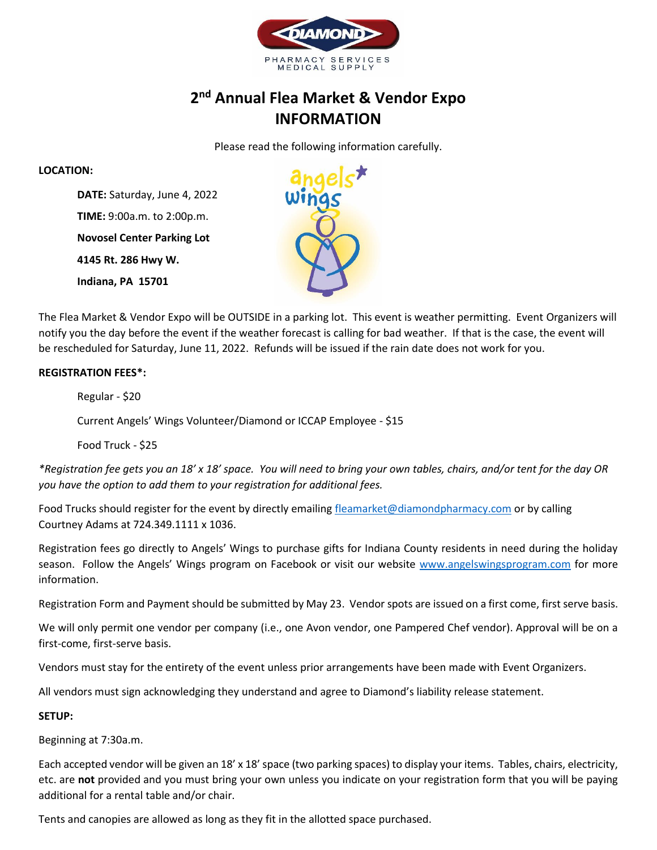

## **2nd Annual Flea Market & Vendor Expo INFORMATION**

Please read the following information carefully.

#### **LOCATION:**

**DATE:** Saturday, June 4, 2022 **TIME:** 9:00a.m. to 2:00p.m. **Novosel Center Parking Lot 4145 Rt. 286 Hwy W. Indiana, PA 15701**



The Flea Market & Vendor Expo will be OUTSIDE in a parking lot. This event is weather permitting. Event Organizers will notify you the day before the event if the weather forecast is calling for bad weather. If that is the case, the event will be rescheduled for Saturday, June 11, 2022. Refunds will be issued if the rain date does not work for you.

### **REGISTRATION FEES\*:**

Regular - \$20

Current Angels' Wings Volunteer/Diamond or ICCAP Employee - \$15

Food Truck - \$25

*\*Registration fee gets you an 18' x 18' space. You will need to bring your own tables, chairs, and/or tent for the day OR you have the option to add them to your registration for additional fees.* 

Food Trucks should register for the event by directly emailing fleamarket@diamondpharmacy.com or by calling Courtney Adams at 724.349.1111 x 1036.

Registration fees go directly to Angels' Wings to purchase gifts for Indiana County residents in need during the holiday season. Follow the Angels' Wings program on Facebook or visit our website www.angelswingsprogram.com for more information.

Registration Form and Payment should be submitted by May 23. Vendor spots are issued on a first come, first serve basis.

We will only permit one vendor per company (i.e., one Avon vendor, one Pampered Chef vendor). Approval will be on a first-come, first-serve basis.

Vendors must stay for the entirety of the event unless prior arrangements have been made with Event Organizers.

All vendors must sign acknowledging they understand and agree to Diamond's liability release statement.

#### **SETUP:**

Beginning at 7:30a.m.

Each accepted vendor will be given an 18' x 18' space (two parking spaces) to display your items. Tables, chairs, electricity, etc. are **not** provided and you must bring your own unless you indicate on your registration form that you will be paying additional for a rental table and/or chair.

Tents and canopies are allowed as long as they fit in the allotted space purchased.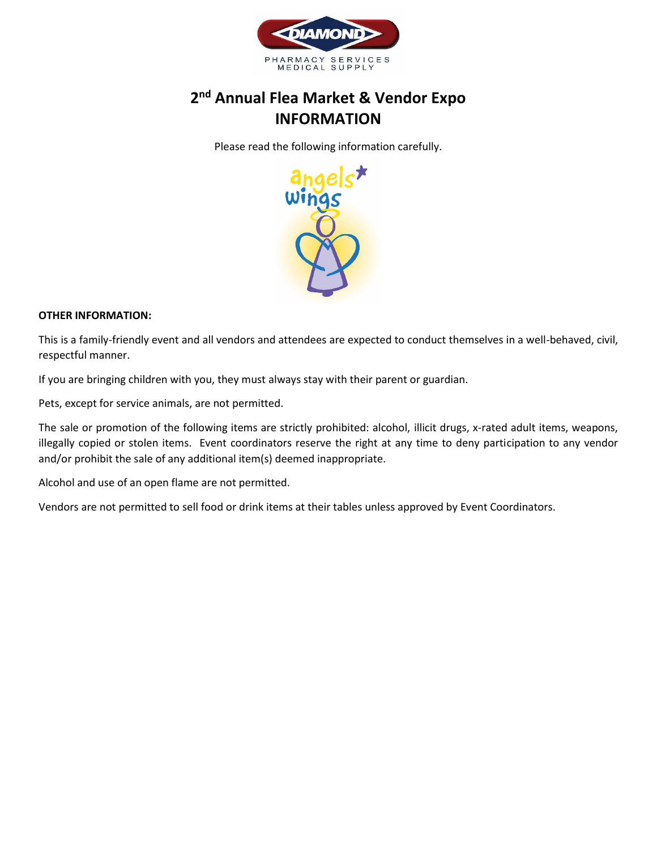

# **2nd Annual Flea Market & Vendor Expo INFORMATION**

Please read the following information carefully.



#### **OTHER INFORMATION:**

This is a family-friendly event and all vendors and attendees are expected to conduct themselves in a well-behaved, civil, respectful manner.

If you are bringing children with you, they must always stay with their parent or guardian.

Pets, except for service animals, are not permitted.

The sale or promotion of the following items are strictly prohibited: alcohol, illicit drugs, x-rated adult items, weapons, illegally copied or stolen items. Event coordinators reserve the right at any time to deny participation to any vendor and/or prohibit the sale of any additional item(s) deemed inappropriate.

Alcohol and use of an open flame are not permitted.

Vendors are not permitted to sell food or drink items at their tables unless approved by Event Coordinators.